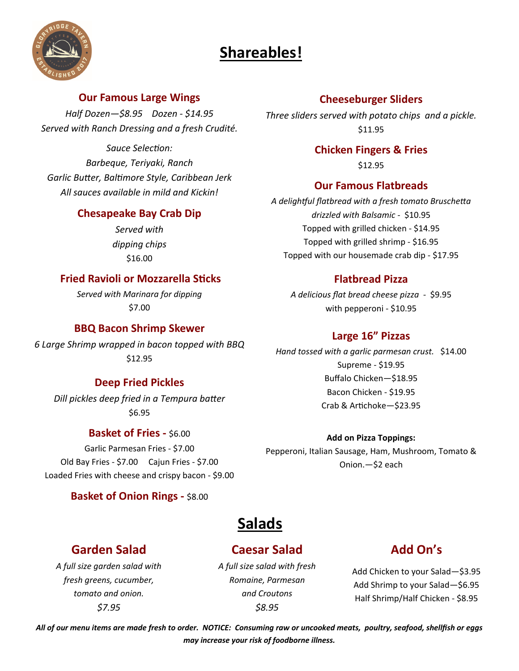# **Shareables!**



### **Our Famous Large Wings**

*Half Dozen—\$8.95 Dozen - \$14.95 Served with Ranch Dressing and a fresh Crudité.* 

*Sauce SelecƟon: Barbeque, Teriyaki, Ranch Garlic BuƩer, BalƟmore Style, Caribbean Jerk All sauces available in mild and Kickin!* 

### **Chesapeake Bay Crab Dip**

*Served with dipping chips* \$16.00

# **Fried Ravioli or Mozzarella Sticks**

*Served with Marinara for dipping* \$7.00

### **BBQ Bacon Shrimp Skewer**

*6 Large Shrimp wrapped in bacon topped with BBQ*  \$12.95

### **Deep Fried Pickles**

*Dill pickles deep fried in a Tempura baƩer*  \$6.95

### **Basket of Fries -** \$6.00

Garlic Parmesan Fries - \$7.00 Old Bay Fries - \$7.00 Cajun Fries - \$7.00 Loaded Fries with cheese and crispy bacon - \$9.00

### **Basket of Onion Rings - \$8.00**

### **Cheeseburger Sliders**

*Three sliders served with potato chips and a pickle.*  \$11.95

### **Chicken Fingers & Fries**

\$12.95

### **Our Famous Flatbreads**

*A delighƞul flatbread with a fresh tomato BruscheƩa drizzled with Balsamic -* \$10.95 Topped with grilled chicken - \$14.95 Topped with grilled shrimp - \$16.95 Topped with our housemade crab dip - \$17.95

### **Flatbread Pizza**

*A delicious flat bread cheese pizza -* \$9.95 with pepperoni - \$10.95

### **Large 16" Pizzas**

*Hand tossed with a garlic parmesan crust.* \$14.00 Supreme - \$19.95 Buffalo Chicken—\$18.95 Bacon Chicken - \$19.95 Crab & Artichoke-\$23.95

**Add on Pizza Toppings:**

Pepperoni, Italian Sausage, Ham, Mushroom, Tomato & Onion.—\$2 each

# **Salads**

# **Garden Salad**

*A full size garden salad with fresh greens, cucumber, tomato and onion. \$7.95*

*A full size salad with fresh Romaine, Parmesan and Croutons \$8.95*

**Caesar Salad**

# **Add On's**

Add Chicken to your Salad—\$3.95 Add Shrimp to your Salad—\$6.95 Half Shrimp/Half Chicken - \$8.95

*All of our menu items are made fresh to order. NOTICE: Consuming raw or uncooked meats, poultry, seafood, shellfish or eggs may increase your risk of foodborne illness.*